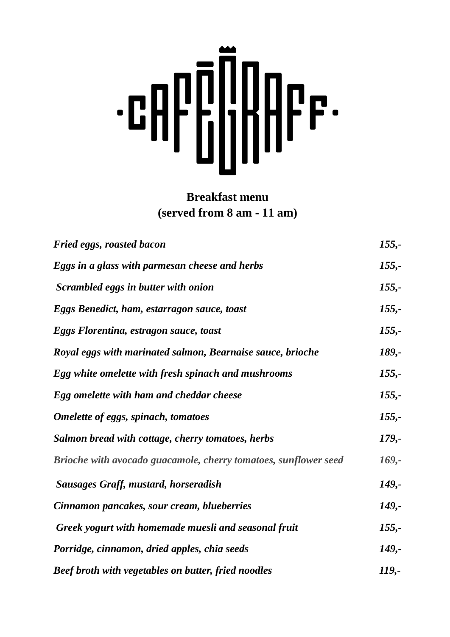# 

### **Breakfast menu (served from 8 am - 11 am)**

| <b>Fried eggs, roasted bacon</b>                                | $155,-$  |
|-----------------------------------------------------------------|----------|
| Eggs in a glass with parmesan cheese and herbs                  | $155,-$  |
| Scrambled eggs in butter with onion                             | $155,-$  |
| Eggs Benedict, ham, estarragon sauce, toast                     | $155,-$  |
| Eggs Florentina, estragon sauce, toast                          | $155,-$  |
| Royal eggs with marinated salmon, Bearnaise sauce, brioche      | 189,-    |
| Egg white omelette with fresh spinach and mushrooms             | $155,-$  |
| Egg omelette with ham and cheddar cheese                        | $155,-$  |
| <b>Omelette of eggs, spinach, tomatoes</b>                      | $155,-$  |
| Salmon bread with cottage, cherry tomatoes, herbs               | $179, -$ |
| Brioche with avocado guacamole, cherry tomatoes, sunflower seed | $169, -$ |
| <b>Sausages Graff, mustard, horseradish</b>                     | $149, -$ |
| Cinnamon pancakes, sour cream, blueberries                      | 149,-    |
| Greek yogurt with homemade muesli and seasonal fruit            | $155,-$  |
| Porridge, cinnamon, dried apples, chia seeds                    | 149,-    |
| <b>Beef broth with vegetables on butter, fried noodles</b>      | 119,-    |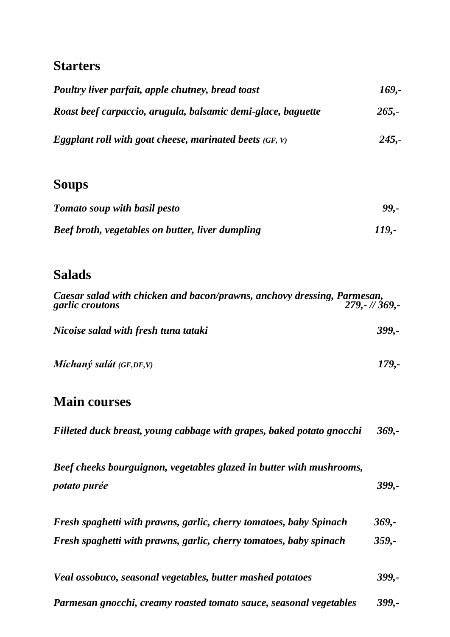# **Starters**

| Poultry liver parfait, apple chutney, bread toast            | 169,-    |
|--------------------------------------------------------------|----------|
| Roast beef carpaccio, arugula, balsamic demi-glace, baguette | $265 -$  |
| Eggplant roll with goat cheese, marinated beets $(GF, V)$    | $245. -$ |

### **Soups**

| <b>Tomato soup with basil pesto</b>                     | 99,-         |
|---------------------------------------------------------|--------------|
| <b>Beef broth, vegetables on butter, liver dumpling</b> | <i>119.-</i> |

# **Salads**

| Caesar salad with chicken and bacon/prawns, anchovy dressing, Parmesan,<br>$279 - 1/369$<br>garlic croutons |         |
|-------------------------------------------------------------------------------------------------------------|---------|
| Nicoise salad with fresh tuna tataki                                                                        | 399,-   |
| Míchaný salát $(GF,DF, V)$                                                                                  | 179,-   |
| <b>Main courses</b>                                                                                         |         |
| Filleted duck breast, young cabbage with grapes, baked potato gnocchi                                       | $369 -$ |
| Beef cheeks bourguignon, vegetables glazed in butter with mushrooms,                                        |         |

*potato purée 399,-* 

| Fresh spaghetti with prawns, garlic, cherry tomatoes, baby Spinach | $369 -$ |
|--------------------------------------------------------------------|---------|
| Fresh spaghetti with prawns, garlic, cherry tomatoes, baby spinach | $359 -$ |

| Veal ossobuco, seasonal vegetables, butter mashed potatoes         |          |
|--------------------------------------------------------------------|----------|
| Parmesan gnocchi, creamy roasted tomato sauce, seasonal vegetables | $399. -$ |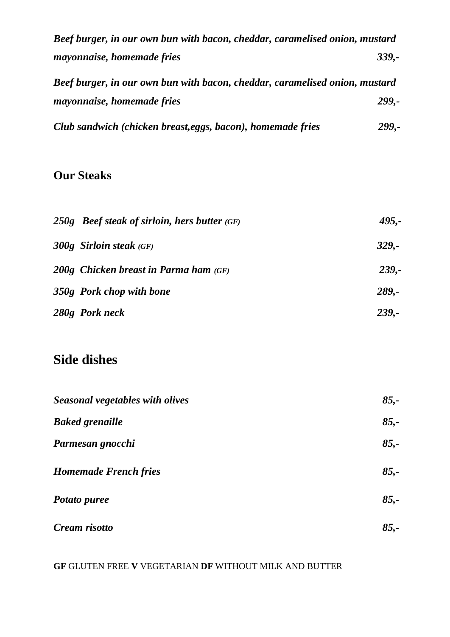| Beef burger, in our own bun with bacon, cheddar, caramelised onion, mustard |          |
|-----------------------------------------------------------------------------|----------|
| <i>mayonnaise, homemade fries</i>                                           | $339. -$ |
| Beef burger, in our own bun with bacon, cheddar, caramelised onion, mustard |          |
| mayonnaise, homemade fries                                                  | 299.-    |
| Club sandwich (chicken breast, eggs, bacon), homemade fries                 | 299,-    |

### **Our Steaks**

| $250g$ Beef steak of sirloin, hers butter $(GF)$ | $495. -$     |
|--------------------------------------------------|--------------|
| $300g$ Sirloin steak (GF)                        | $329. -$     |
| $200g$ Chicken breast in Parma ham $(GF)$        | $239. -$     |
| 350g Pork chop with bone                         | $289. -$     |
| 280g Pork neck                                   | <b>239.-</b> |

# **Side dishes**

| Seasonal vegetables with olives | $85,-$ |
|---------------------------------|--------|
| <b>Baked grenaille</b>          | $85 -$ |
| Parmesan gnocchi                | $85,-$ |
| <b>Homemade French fries</b>    | $85,-$ |
| Potato puree                    | $85 -$ |
| Cream risotto                   | $85 -$ |

**GF** GLUTEN FREE **V** VEGETARIAN **DF** WITHOUT MILK AND BUTTER